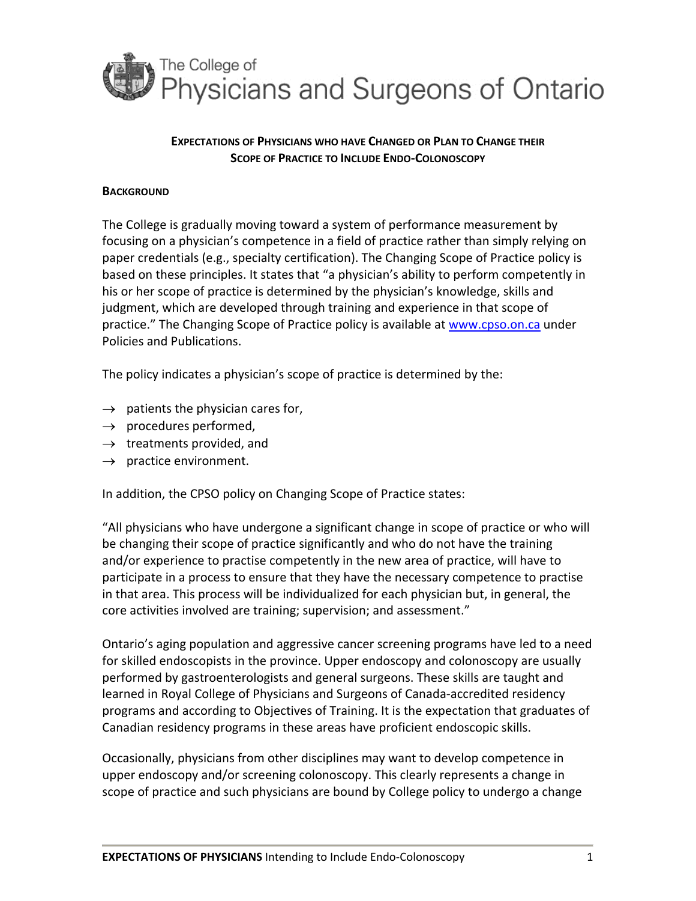

### **EXPECTATIONS OF PHYSICIANS WHO HAVE CHANGED OR PLAN TO CHANGE THEIR SCOPE OF PRACTICE TO INCLUDE ENDO‐COLONOSCOPY**

#### **BACKGROUND**

The College is gradually moving toward a system of performance measurement by focusing on a physician's competence in a field of practice rather than simply relying on paper credentials (e.g., specialty certification). The Changing Scope of Practice policy is based on these principles. It states that "a physician's ability to perform competently in his or her scope of practice is determined by the physician's knowledge, skills and judgment, which are developed through training and experience in that scope of practice." The Changing Scope of Practice policy is available at www.cpso.on.ca under Policies and Publications.

The policy indicates a physician's scope of practice is determined by the:

- $\rightarrow$  patients the physician cares for,
- $\rightarrow$  procedures performed,
- $\rightarrow$  treatments provided, and
- $\rightarrow$  practice environment.

In addition, the CPSO policy on Changing Scope of Practice states:

"All physicians who have undergone a significant change in scope of practice or who will be changing their scope of practice significantly and who do not have the training and/or experience to practise competently in the new area of practice, will have to participate in a process to ensure that they have the necessary competence to practise in that area. This process will be individualized for each physician but, in general, the core activities involved are training; supervision; and assessment."

Ontario's aging population and aggressive cancer screening programs have led to a need for skilled endoscopists in the province. Upper endoscopy and colonoscopy are usually performed by gastroenterologists and general surgeons. These skills are taught and learned in Royal College of Physicians and Surgeons of Canada‐accredited residency programs and according to Objectives of Training. It is the expectation that graduates of Canadian residency programs in these areas have proficient endoscopic skills.

Occasionally, physicians from other disciplines may want to develop competence in upper endoscopy and/or screening colonoscopy. This clearly represents a change in scope of practice and such physicians are bound by College policy to undergo a change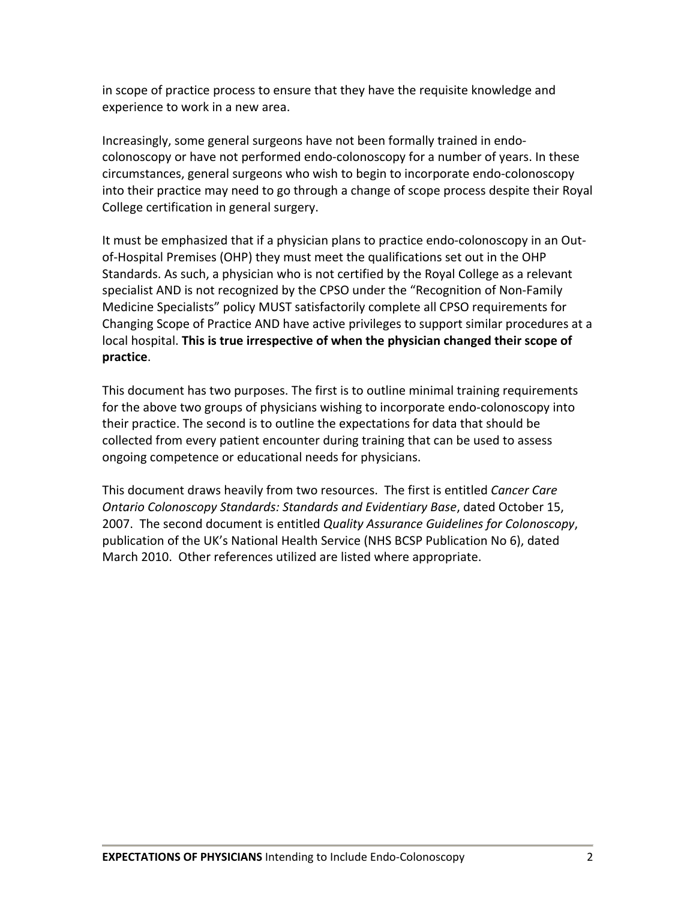in scope of practice process to ensure that they have the requisite knowledge and experience to work in a new area.

Increasingly, some general surgeons have not been formally trained in endo‐ colonoscopy or have not performed endo‐colonoscopy for a number of years. In these circumstances, general surgeons who wish to begin to incorporate endo‐colonoscopy into their practice may need to go through a change of scope process despite their Royal College certification in general surgery.

It must be emphasized that if a physician plans to practice endo‐colonoscopy in an Out‐ of‐Hospital Premises (OHP) they must meet the qualifications set out in the OHP Standards. As such, a physician who is not certified by the Royal College as a relevant specialist AND is not recognized by the CPSO under the "Recognition of Non-Family Medicine Specialists" policy MUST satisfactorily complete all CPSO requirements for Changing Scope of Practice AND have active privileges to support similar procedures at a local hospital. **This is true irrespective of when the physician changed their scope of practice**.

This document has two purposes. The first is to outline minimal training requirements for the above two groups of physicians wishing to incorporate endo‐colonoscopy into their practice. The second is to outline the expectations for data that should be collected from every patient encounter during training that can be used to assess ongoing competence or educational needs for physicians.

This document draws heavily from two resources. The first is entitled *Cancer Care Ontario Colonoscopy Standards: Standards and Evidentiary Base*, dated October 15, 2007. The second document is entitled *Quality Assurance Guidelines for Colonoscopy*, publication of the UK's National Health Service (NHS BCSP Publication No 6), dated March 2010. Other references utilized are listed where appropriate.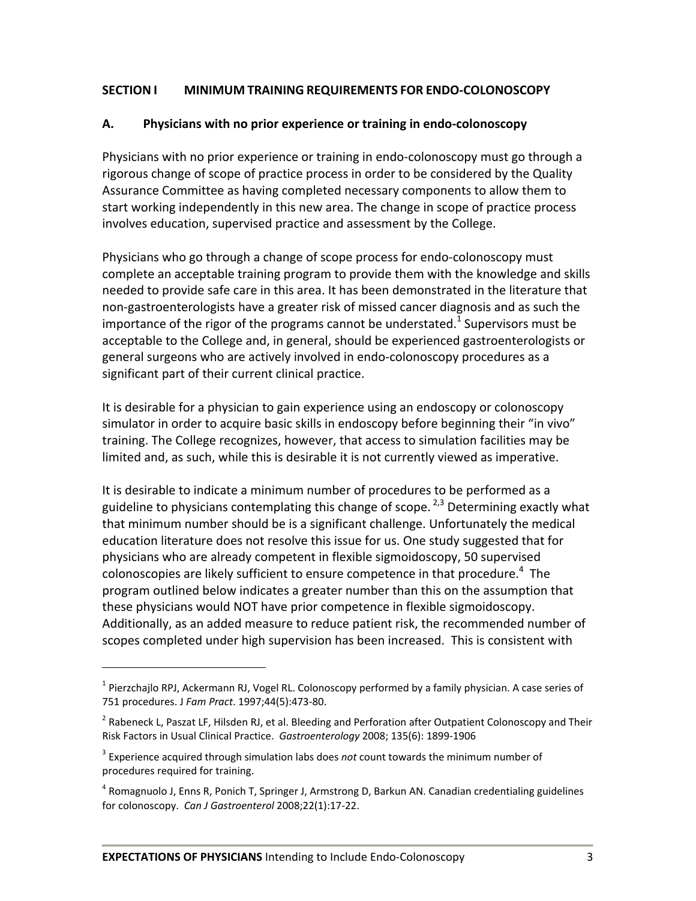### **SECTION I MINIMUM TRAINING REQUIREMENTS FOR ENDO‐COLONOSCOPY**

### **A. Physicians with no prior experience or training in endo‐colonoscopy**

Physicians with no prior experience or training in endo‐colonoscopy must go through a rigorous change of scope of practice process in order to be considered by the Quality Assurance Committee as having completed necessary components to allow them to start working independently in this new area. The change in scope of practice process involves education, supervised practice and assessment by the College.

Physicians who go through a change of scope process for endo‐colonoscopy must complete an acceptable training program to provide them with the knowledge and skills needed to provide safe care in this area. It has been demonstrated in the literature that non‐gastroenterologists have a greater risk of missed cancer diagnosis and as such the importance of the rigor of the programs cannot be understated.<sup>1</sup> Supervisors must be acceptable to the College and, in general, should be experienced gastroenterologists or general surgeons who are actively involved in endo‐colonoscopy procedures as a significant part of their current clinical practice.

It is desirable for a physician to gain experience using an endoscopy or colonoscopy simulator in order to acquire basic skills in endoscopy before beginning their "in vivo" training. The College recognizes, however, that access to simulation facilities may be limited and, as such, while this is desirable it is not currently viewed as imperative.

It is desirable to indicate a minimum number of procedures to be performed as a guideline to physicians contemplating this change of scope.  $2,3$  Determining exactly what that minimum number should be is a significant challenge. Unfortunately the medical education literature does not resolve this issue for us. One study suggested that for physicians who are already competent in flexible sigmoidoscopy, 50 supervised colonoscopies are likely sufficient to ensure competence in that procedure.<sup>4</sup> The program outlined below indicates a greater number than this on the assumption that these physicians would NOT have prior competence in flexible sigmoidoscopy. Additionally, as an added measure to reduce patient risk, the recommended number of scopes completed under high supervision has been increased. This is consistent with

 $\overline{a}$ 

 $<sup>1</sup>$  Pierzchailo RPJ, Ackermann RJ, Vogel RL. Colonoscopy performed by a family physician. A case series of</sup> 751 procedures. J *Fam Pract*. 1997;44(5):473‐80.

 $2$  Rabeneck L, Paszat LF, Hilsden RJ, et al. Bleeding and Perforation after Outpatient Colonoscopy and Their Risk Factors in Usual Clinical Practice. *Gastroenterology* 2008; 135(6): 1899‐1906

<sup>3</sup> Experience acquired through simulation labs does *not* count towards the minimum number of procedures required for training.

<sup>&</sup>lt;sup>4</sup> Romagnuolo J, Enns R, Ponich T, Springer J, Armstrong D, Barkun AN. Canadian credentialing guidelines for colonoscopy. *Can J Gastroenterol* 2008;22(1):17‐22.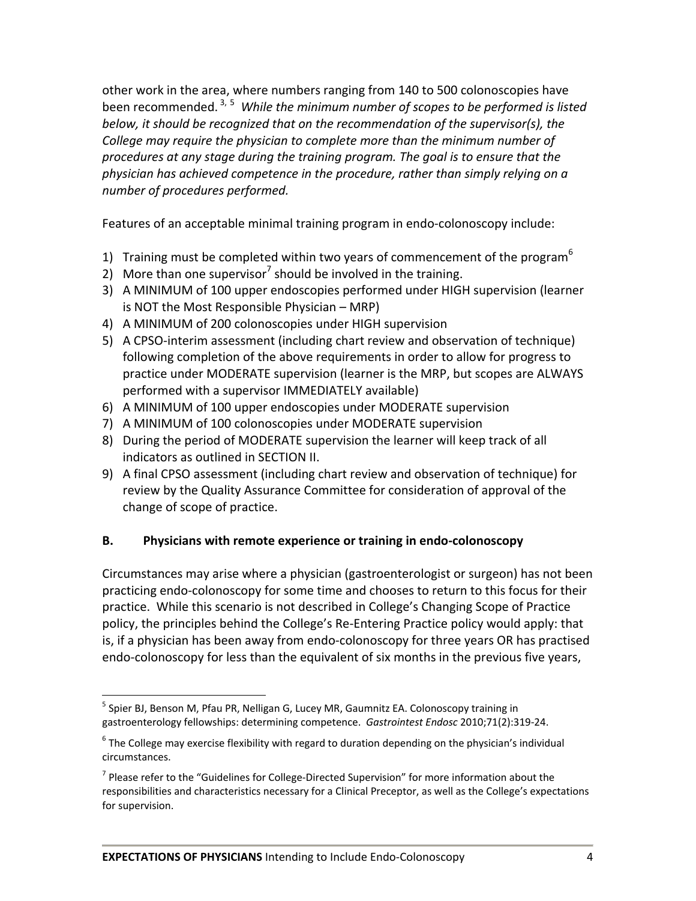other work in the area, where numbers ranging from 140 to 500 colonoscopies have been recommended. 3, <sup>5</sup> *While the minimum number of scopes to be performed is listed below, it should be recognized that on the recommendation of the supervisor(s), the College may require the physician to complete more than the minimum number of procedures at any stage during the training program. The goal is to ensure that the physician has achieved competence in the procedure, rather than simply relying on a number of procedures performed.*

Features of an acceptable minimal training program in endo-colonoscopy include:

- 1) Training must be completed within two years of commencement of the program<sup>6</sup>
- 2) More than one supervisor<sup>7</sup> should be involved in the training.
- 3) A MINIMUM of 100 upper endoscopies performed under HIGH supervision (learner is NOT the Most Responsible Physician – MRP)
- 4) A MINIMUM of 200 colonoscopies under HIGH supervision
- 5) A CPSO‐interim assessment (including chart review and observation of technique) following completion of the above requirements in order to allow for progress to practice under MODERATE supervision (learner is the MRP, but scopes are ALWAYS performed with a supervisor IMMEDIATELY available)
- 6) A MINIMUM of 100 upper endoscopies under MODERATE supervision
- 7) A MINIMUM of 100 colonoscopies under MODERATE supervision
- 8) During the period of MODERATE supervision the learner will keep track of all indicators as outlined in SECTION II.
- 9) A final CPSO assessment (including chart review and observation of technique) for review by the Quality Assurance Committee for consideration of approval of the change of scope of practice.

# **B. Physicians with remote experience or training in endo‐colonoscopy**

Circumstances may arise where a physician (gastroenterologist or surgeon) has not been practicing endo‐colonoscopy for some time and chooses to return to this focus for their practice. While this scenario is not described in College's Changing Scope of Practice policy, the principles behind the College's Re‐Entering Practice policy would apply: that is, if a physician has been away from endo‐colonoscopy for three years OR has practised endo-colonoscopy for less than the equivalent of six months in the previous five years,

 $\overline{a}$ 

<sup>&</sup>lt;sup>5</sup> Spier BJ, Benson M, Pfau PR, Nelligan G, Lucey MR, Gaumnitz EA. Colonoscopy training in gastroenterology fellowships: determining competence. *Gastrointest Endosc* 2010;71(2):319‐24.

 $6$  The College may exercise flexibility with regard to duration depending on the physician's individual circumstances.

 $<sup>7</sup>$  Please refer to the "Guidelines for College-Directed Supervision" for more information about the</sup> responsibilities and characteristics necessary for a Clinical Preceptor, as well as the College's expectations for supervision.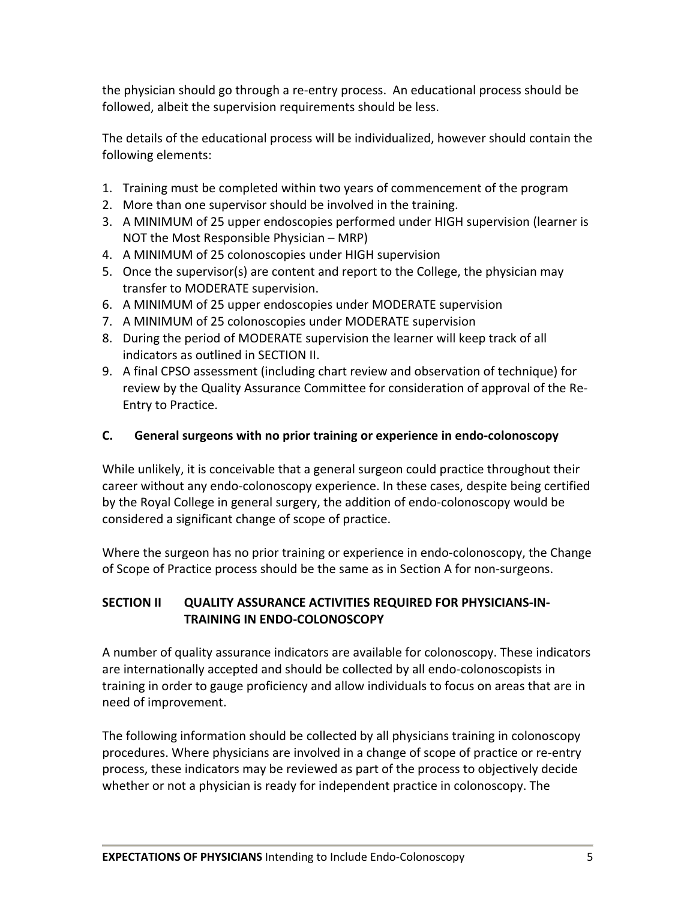the physician should go through a re‐entry process. An educational process should be followed, albeit the supervision requirements should be less.

The details of the educational process will be individualized, however should contain the following elements:

- 1. Training must be completed within two years of commencement of the program
- 2. More than one supervisor should be involved in the training.
- 3. A MINIMUM of 25 upper endoscopies performed under HIGH supervision (learner is NOT the Most Responsible Physician – MRP)
- 4. A MINIMUM of 25 colonoscopies under HIGH supervision
- 5. Once the supervisor(s) are content and report to the College, the physician may transfer to MODERATE supervision.
- 6. A MINIMUM of 25 upper endoscopies under MODERATE supervision
- 7. A MINIMUM of 25 colonoscopies under MODERATE supervision
- 8. During the period of MODERATE supervision the learner will keep track of all indicators as outlined in SECTION II.
- 9. A final CPSO assessment (including chart review and observation of technique) for review by the Quality Assurance Committee for consideration of approval of the Re‐ Entry to Practice.

# **C. General surgeons with no prior training or experience in endo‐colonoscopy**

While unlikely, it is conceivable that a general surgeon could practice throughout their career without any endo‐colonoscopy experience. In these cases, despite being certified by the Royal College in general surgery, the addition of endo‐colonoscopy would be considered a significant change of scope of practice.

Where the surgeon has no prior training or experience in endo‐colonoscopy, the Change of Scope of Practice process should be the same as in Section A for non‐surgeons.

# **SECTION II QUALITY ASSURANCE ACTIVITIES REQUIRED FOR PHYSICIANS‐IN‐ TRAINING IN ENDO‐COLONOSCOPY**

A number of quality assurance indicators are available for colonoscopy. These indicators are internationally accepted and should be collected by all endo‐colonoscopists in training in order to gauge proficiency and allow individuals to focus on areas that are in need of improvement.

The following information should be collected by all physicians training in colonoscopy procedures. Where physicians are involved in a change of scope of practice or re‐entry process, these indicators may be reviewed as part of the process to objectively decide whether or not a physician is ready for independent practice in colonoscopy. The